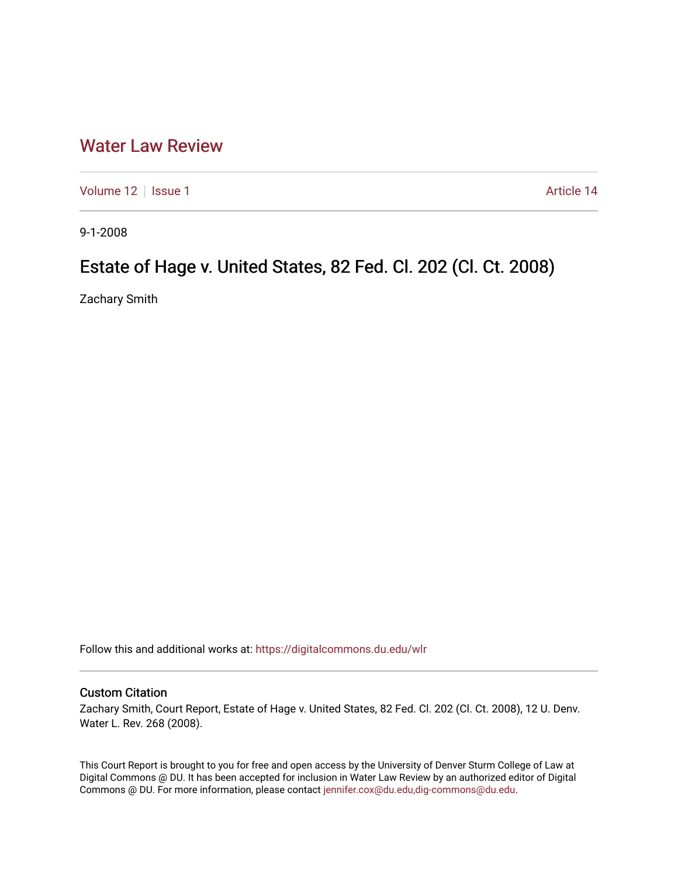## [Water Law Review](https://digitalcommons.du.edu/wlr)

[Volume 12](https://digitalcommons.du.edu/wlr/vol12) | [Issue 1](https://digitalcommons.du.edu/wlr/vol12/iss1) Article 14

9-1-2008

# Estate of Hage v. United States, 82 Fed. Cl. 202 (Cl. Ct. 2008)

Zachary Smith

Follow this and additional works at: [https://digitalcommons.du.edu/wlr](https://digitalcommons.du.edu/wlr?utm_source=digitalcommons.du.edu%2Fwlr%2Fvol12%2Fiss1%2F14&utm_medium=PDF&utm_campaign=PDFCoverPages) 

### Custom Citation

Zachary Smith, Court Report, Estate of Hage v. United States, 82 Fed. Cl. 202 (Cl. Ct. 2008), 12 U. Denv. Water L. Rev. 268 (2008).

This Court Report is brought to you for free and open access by the University of Denver Sturm College of Law at Digital Commons @ DU. It has been accepted for inclusion in Water Law Review by an authorized editor of Digital Commons @ DU. For more information, please contact [jennifer.cox@du.edu,dig-commons@du.edu.](mailto:jennifer.cox@du.edu,dig-commons@du.edu)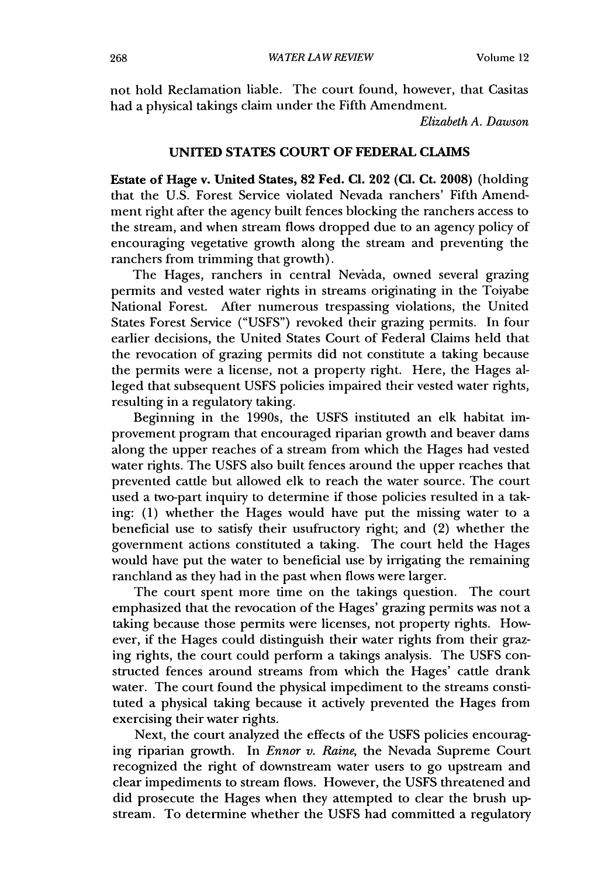not hold Reclamation liable. The court found, however, that Casitas had a physical takings claim under the Fifth Amendment.

*Elizabeth A. Dawson*

#### **UNITED STATES COURT** OF **FEDERAL CLAIMS**

Estate of Hage v. United States, **82** Fed. **C1.** 202 **(CI.** Ct. **2008)** (holding that the **U.S.** Forest Service violated Nevada ranchers' Fifth Amendment right after the agency built fences blocking the ranchers access to the stream, and when stream flows dropped due to an agency policy of encouraging vegetative growth along the stream and preventing the ranchers from trimming that growth).

The Hages, ranchers in central Nevada, owned several grazing permits and vested water rights in streams originating in the Toiyabe National Forest. After numerous trespassing violations, the United States Forest Service **("USFS")** revoked their grazing permits. In four earlier decisions, the United States Court of Federal Claims held that the revocation of grazing permits did not constitute a taking because the permits were a license, not a property right. Here, the Hages alleged that subsequent **USFS** policies impaired their vested water rights, resulting in a regulatory taking.

Beginning in the 1990s, the **USFS** instituted an elk habitat improvement program that encouraged riparian growth and beaver dams along the upper reaches of a stream from which the Hages had vested water rights. The **USFS** also built fences around the upper reaches that prevented cattle but allowed elk to reach the water source. The court used a two-part inquiry to determine if those policies resulted in a taking: **(1)** whether the Hages would have put the missing water to a beneficial use to satisfy their usufructory right; and (2) whether the government actions constituted a taking. The court held the Hages would have put the water to beneficial use **by** irrigating the remaining ranchland as they had in the past when flows were larger.

The court spent more time on the takings question. The court emphasized that the revocation of the Hages' grazing permits was not a taking because those permits were licenses, not property rights. However, if the Hages could distinguish their water rights from their grazing rights, the court could perform a takings analysis. The USFS constructed fences around streams from which the Hages' cattle drank water. The court found the physical impediment to the streams constituted a physical taking because it actively prevented the Hages from exercising their water rights.

Next, the court analyzed the effects of the USFS policies encouraging riparian growth. In *Ennor v. Raine,* the Nevada Supreme Court recognized the right of downstream water users to go upstream and clear impediments to stream flows. However, the USFS threatened and did prosecute the Hages when they attempted to clear the brush upstream. To determine whether the USFS had committed a regulatory